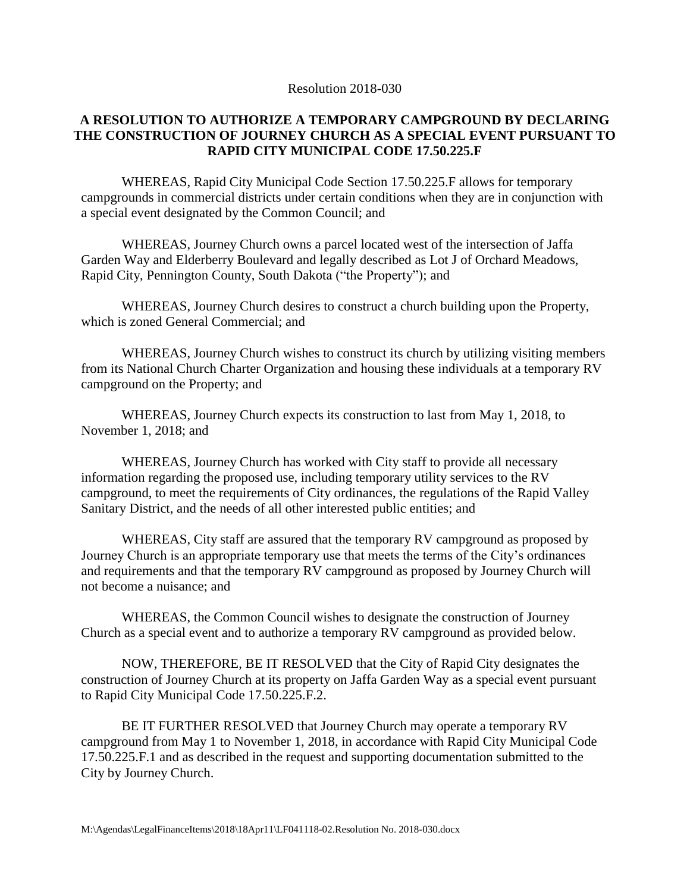Resolution 2018-030

## **A RESOLUTION TO AUTHORIZE A TEMPORARY CAMPGROUND BY DECLARING THE CONSTRUCTION OF JOURNEY CHURCH AS A SPECIAL EVENT PURSUANT TO RAPID CITY MUNICIPAL CODE 17.50.225.F**

WHEREAS, Rapid City Municipal Code Section 17.50.225.F allows for temporary campgrounds in commercial districts under certain conditions when they are in conjunction with a special event designated by the Common Council; and

WHEREAS, Journey Church owns a parcel located west of the intersection of Jaffa Garden Way and Elderberry Boulevard and legally described as Lot J of Orchard Meadows, Rapid City, Pennington County, South Dakota ("the Property"); and

WHEREAS, Journey Church desires to construct a church building upon the Property, which is zoned General Commercial; and

WHEREAS, Journey Church wishes to construct its church by utilizing visiting members from its National Church Charter Organization and housing these individuals at a temporary RV campground on the Property; and

WHEREAS, Journey Church expects its construction to last from May 1, 2018, to November 1, 2018; and

WHEREAS, Journey Church has worked with City staff to provide all necessary information regarding the proposed use, including temporary utility services to the RV campground, to meet the requirements of City ordinances, the regulations of the Rapid Valley Sanitary District, and the needs of all other interested public entities; and

WHEREAS, City staff are assured that the temporary RV campground as proposed by Journey Church is an appropriate temporary use that meets the terms of the City's ordinances and requirements and that the temporary RV campground as proposed by Journey Church will not become a nuisance; and

WHEREAS, the Common Council wishes to designate the construction of Journey Church as a special event and to authorize a temporary RV campground as provided below.

NOW, THEREFORE, BE IT RESOLVED that the City of Rapid City designates the construction of Journey Church at its property on Jaffa Garden Way as a special event pursuant to Rapid City Municipal Code 17.50.225.F.2.

BE IT FURTHER RESOLVED that Journey Church may operate a temporary RV campground from May 1 to November 1, 2018, in accordance with Rapid City Municipal Code 17.50.225.F.1 and as described in the request and supporting documentation submitted to the City by Journey Church.